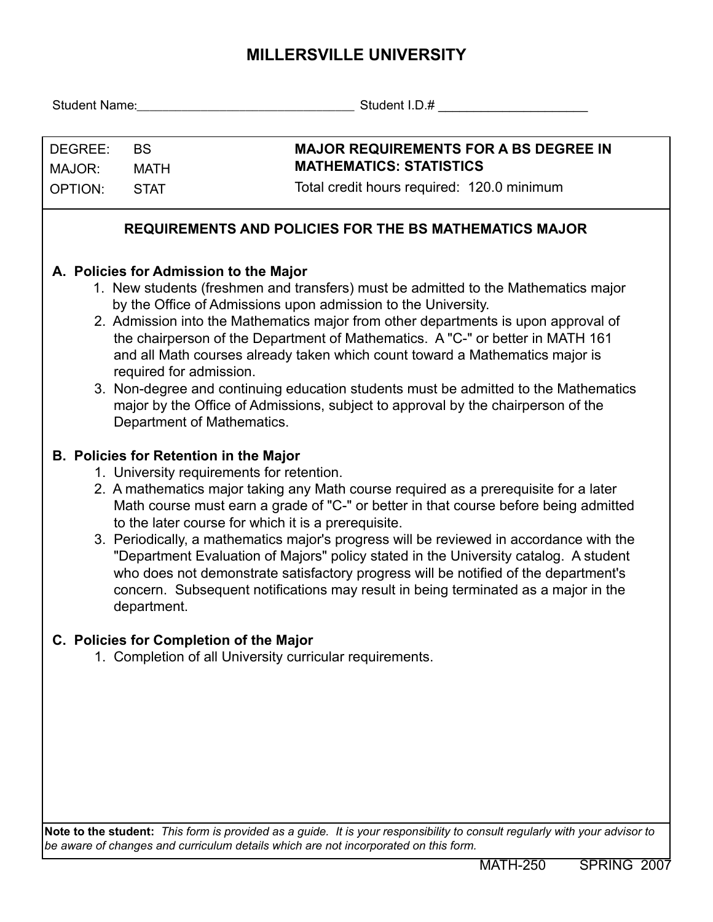## **MILLERSVILLE UNIVERSITY**

| DEGREE:<br><b>BS</b><br>MAJOR:<br><b>MATH</b>                                                                                                                                                                                                                                                                                                                                                                                                                                                                                                                                                                                                                                             |                                                                                                                                                                                                                                                                                                                                                                                                                                                                                                                                                                                                                                                                                                                  | <b>MAJOR REQUIREMENTS FOR A BS DEGREE IN</b><br><b>MATHEMATICS: STATISTICS</b>                                             |  |  |  |  |
|-------------------------------------------------------------------------------------------------------------------------------------------------------------------------------------------------------------------------------------------------------------------------------------------------------------------------------------------------------------------------------------------------------------------------------------------------------------------------------------------------------------------------------------------------------------------------------------------------------------------------------------------------------------------------------------------|------------------------------------------------------------------------------------------------------------------------------------------------------------------------------------------------------------------------------------------------------------------------------------------------------------------------------------------------------------------------------------------------------------------------------------------------------------------------------------------------------------------------------------------------------------------------------------------------------------------------------------------------------------------------------------------------------------------|----------------------------------------------------------------------------------------------------------------------------|--|--|--|--|
| <b>OPTION:</b><br><b>STAT</b>                                                                                                                                                                                                                                                                                                                                                                                                                                                                                                                                                                                                                                                             |                                                                                                                                                                                                                                                                                                                                                                                                                                                                                                                                                                                                                                                                                                                  | Total credit hours required: 120.0 minimum                                                                                 |  |  |  |  |
|                                                                                                                                                                                                                                                                                                                                                                                                                                                                                                                                                                                                                                                                                           |                                                                                                                                                                                                                                                                                                                                                                                                                                                                                                                                                                                                                                                                                                                  | <b>REQUIREMENTS AND POLICIES FOR THE BS MATHEMATICS MAJOR</b>                                                              |  |  |  |  |
| A. Policies for Admission to the Major<br>1. New students (freshmen and transfers) must be admitted to the Mathematics major<br>by the Office of Admissions upon admission to the University.<br>2. Admission into the Mathematics major from other departments is upon approval of<br>the chairperson of the Department of Mathematics. A "C-" or better in MATH 161<br>and all Math courses already taken which count toward a Mathematics major is<br>required for admission.<br>3. Non-degree and continuing education students must be admitted to the Mathematics<br>major by the Office of Admissions, subject to approval by the chairperson of the<br>Department of Mathematics. |                                                                                                                                                                                                                                                                                                                                                                                                                                                                                                                                                                                                                                                                                                                  |                                                                                                                            |  |  |  |  |
|                                                                                                                                                                                                                                                                                                                                                                                                                                                                                                                                                                                                                                                                                           | <b>B. Policies for Retention in the Major</b><br>1. University requirements for retention.<br>2. A mathematics major taking any Math course required as a prerequisite for a later<br>Math course must earn a grade of "C-" or better in that course before being admitted<br>to the later course for which it is a prerequisite.<br>3. Periodically, a mathematics major's progress will be reviewed in accordance with the<br>"Department Evaluation of Majors" policy stated in the University catalog. A student<br>who does not demonstrate satisfactory progress will be notified of the department's<br>concern. Subsequent notifications may result in being terminated as a major in the<br>department. |                                                                                                                            |  |  |  |  |
|                                                                                                                                                                                                                                                                                                                                                                                                                                                                                                                                                                                                                                                                                           |                                                                                                                                                                                                                                                                                                                                                                                                                                                                                                                                                                                                                                                                                                                  | C. Policies for Completion of the Major<br>1. Completion of all University curricular requirements.                        |  |  |  |  |
|                                                                                                                                                                                                                                                                                                                                                                                                                                                                                                                                                                                                                                                                                           |                                                                                                                                                                                                                                                                                                                                                                                                                                                                                                                                                                                                                                                                                                                  | Note to the student: This form is provided as a guide. It is your responsibility to consult regularly with your advisor to |  |  |  |  |

*be aware of changes and curriculum details which are not incorporated on this form.*

MATH-250 SPRING 2007